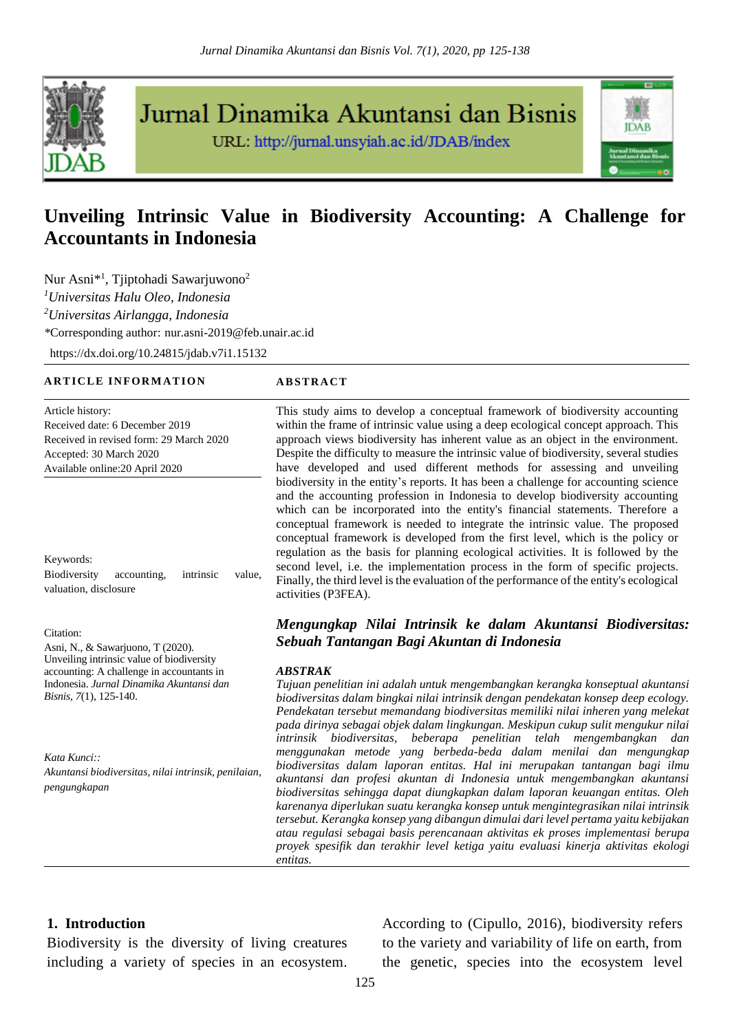

Jurnal Dinamika Akuntansi dan Bisnis

URL: http://jurnal.unsyiah.ac.id/JDAB/index



# **Unveiling Intrinsic Value in Biodiversity Accounting: A Challenge for Accountants in Indonesia**

Nur Asni<sup>\*1</sup>, Tjiptohadi Sawarjuwono<sup>2</sup> *<sup>1</sup>Universitas Halu Oleo, Indonesia <sup>2</sup>Universitas Airlangga, Indonesia \**Corresponding author: nur.asni-2019@feb.unair.ac.id

[https://dx.doi.org/1](https://dx.doi.org/10.24815/jdab.v6i2.13785)0.24815/jdab.v7i1.15132

#### **A R T I C L E I N F O R M A T I O N A B S T R AC T**

Article history: Received date: 6 December 2019 Received in revised form: 29 March 2020 Accepted: 30 March 2020 Available online:20 April 2020

Keywords: Biodiversity accounting, intrinsic value, valuation, disclosure

Citation:

Asni, N., & Sawarjuono, T (2020). Unveiling intrinsic value of biodiversity accounting: A challenge in accountants in Indonesia. *Jurnal Dinamika Akuntansi dan Bisnis*, *7*(1), 125-140.

*Kata Kunci:: Akuntansi biodiversitas, nilai intrinsik, penilaian, pengungkapan*

This study aims to develop a conceptual framework of biodiversity accounting within the frame of intrinsic value using a deep ecological concept approach. This approach views biodiversity has inherent value as an object in the environment. Despite the difficulty to measure the intrinsic value of biodiversity, several studies have developed and used different methods for assessing and unveiling biodiversity in the entity's reports. It has been a challenge for accounting science and the accounting profession in Indonesia to develop biodiversity accounting which can be incorporated into the entity's financial statements. Therefore a conceptual framework is needed to integrate the intrinsic value. The proposed conceptual framework is developed from the first level, which is the policy or regulation as the basis for planning ecological activities. It is followed by the second level, i.e. the implementation process in the form of specific projects. Finally, the third level is the evaluation of the performance of the entity's ecological activities (P3FEA).

# *Mengungkap Nilai Intrinsik ke dalam Akuntansi Biodiversitas: Sebuah Tantangan Bagi Akuntan di Indonesia*

#### *ABSTRAK*

*Tujuan penelitian ini adalah untuk mengembangkan kerangka konseptual akuntansi biodiversitas dalam bingkai nilai intrinsik dengan pendekatan konsep deep ecology. Pendekatan tersebut memandang biodiversitas memiliki nilai inheren yang melekat pada dirinya sebagai objek dalam lingkungan. Meskipun cukup sulit mengukur nilai intrinsik biodiversitas, beberapa penelitian telah mengembangkan dan menggunakan metode yang berbeda-beda dalam menilai dan mengungkap biodiversitas dalam laporan entitas. Hal ini merupakan tantangan bagi ilmu akuntansi dan profesi akuntan di Indonesia untuk mengembangkan akuntansi biodiversitas sehingga dapat diungkapkan dalam laporan keuangan entitas. Oleh karenanya diperlukan suatu kerangka konsep untuk mengintegrasikan nilai intrinsik tersebut. Kerangka konsep yang dibangun dimulai dari level pertama yaitu kebijakan atau regulasi sebagai basis perencanaan aktivitas ek proses implementasi berupa proyek spesifik dan terakhir level ketiga yaitu evaluasi kinerja aktivitas ekologi entitas.* 

# **1. Introduction**

Biodiversity is the diversity of living creatures including a variety of species in an ecosystem. According to (Cipullo, 2016), biodiversity refers to the variety and variability of life on earth, from the genetic, species into the ecosystem level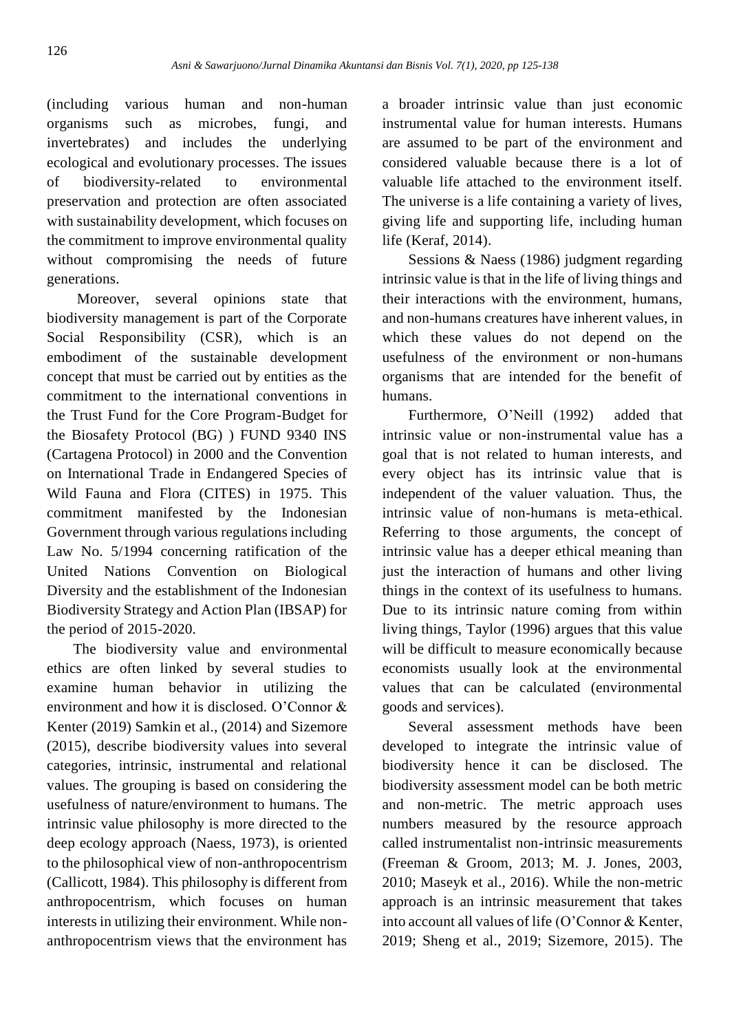(including various human and non-human organisms such as microbes, fungi, and invertebrates) and includes the underlying ecological and evolutionary processes. The issues of biodiversity-related to environmental preservation and protection are often associated with sustainability development, which focuses on the commitment to improve environmental quality without compromising the needs of future generations.

Moreover, several opinions state that biodiversity management is part of the Corporate Social Responsibility (CSR), which is an embodiment of the sustainable development concept that must be carried out by entities as the commitment to the international conventions in the Trust Fund for the Core Program-Budget for the Biosafety Protocol (BG) ) FUND 9340 INS (Cartagena Protocol) in 2000 and the Convention on International Trade in Endangered Species of Wild Fauna and Flora (CITES) in 1975. This commitment manifested by the Indonesian Government through various regulations including Law No. 5/1994 concerning ratification of the United Nations Convention on Biological Diversity and the establishment of the Indonesian Biodiversity Strategy and Action Plan (IBSAP) for the period of 2015-2020.

The biodiversity value and environmental ethics are often linked by several studies to examine human behavior in utilizing the environment and how it is disclosed. O'Connor & Kenter (2019) Samkin et al., (2014) and Sizemore (2015), describe biodiversity values into several categories, intrinsic, instrumental and relational values. The grouping is based on considering the usefulness of nature/environment to humans. The intrinsic value philosophy is more directed to the deep ecology approach (Naess, 1973), is oriented to the philosophical view of non-anthropocentrism (Callicott, 1984). This philosophy is different from anthropocentrism, which focuses on human interests in utilizing their environment. While nonanthropocentrism views that the environment has

a broader intrinsic value than just economic instrumental value for human interests. Humans are assumed to be part of the environment and considered valuable because there is a lot of valuable life attached to the environment itself. The universe is a life containing a variety of lives, giving life and supporting life, including human life (Keraf, 2014).

Sessions & Naess (1986) judgment regarding intrinsic value is that in the life of living things and their interactions with the environment, humans, and non-humans creatures have inherent values, in which these values do not depend on the usefulness of the environment or non-humans organisms that are intended for the benefit of humans.

Furthermore, O'Neill (1992) added that intrinsic value or non-instrumental value has a goal that is not related to human interests, and every object has its intrinsic value that is independent of the valuer valuation. Thus, the intrinsic value of non-humans is meta-ethical. Referring to those arguments, the concept of intrinsic value has a deeper ethical meaning than just the interaction of humans and other living things in the context of its usefulness to humans. Due to its intrinsic nature coming from within living things, Taylor (1996) argues that this value will be difficult to measure economically because economists usually look at the environmental values that can be calculated (environmental goods and services).

Several assessment methods have been developed to integrate the intrinsic value of biodiversity hence it can be disclosed. The biodiversity assessment model can be both metric and non-metric. The metric approach uses numbers measured by the resource approach called instrumentalist non-intrinsic measurements (Freeman & Groom, 2013; M. J. Jones, 2003, 2010; Maseyk et al., 2016). While the non-metric approach is an intrinsic measurement that takes into account all values of life (O'Connor & Kenter, 2019; Sheng et al., 2019; Sizemore, 2015). The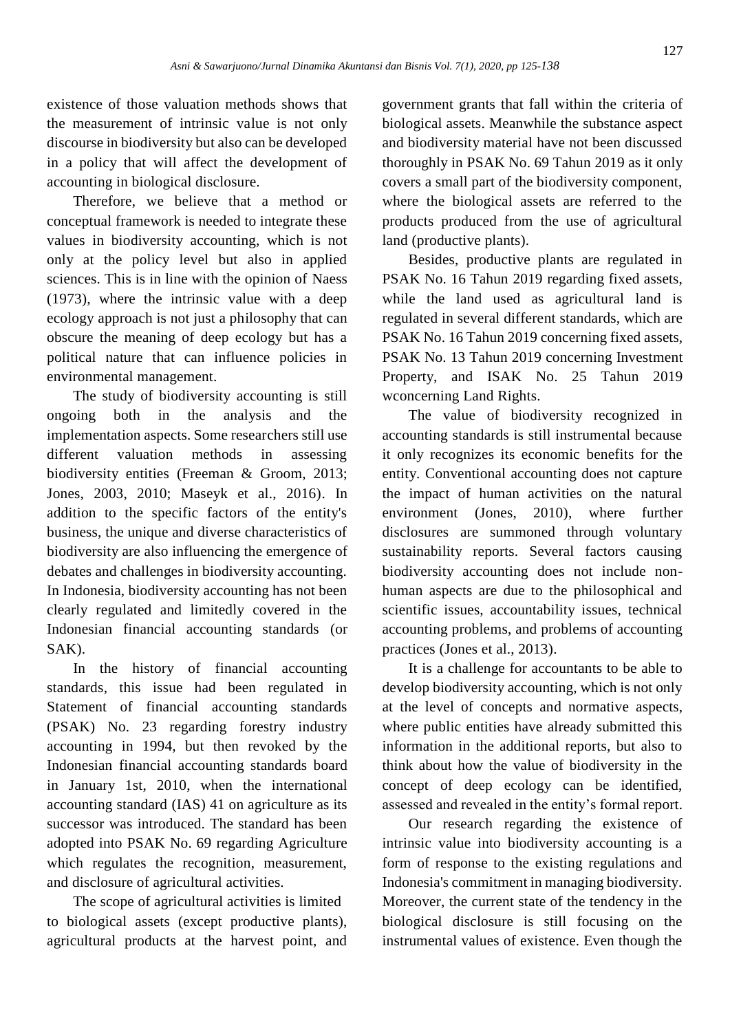existence of those valuation methods shows that the measurement of intrinsic value is not only discourse in biodiversity but also can be developed in a policy that will affect the development of accounting in biological disclosure.

Therefore, we believe that a method or conceptual framework is needed to integrate these values in biodiversity accounting, which is not only at the policy level but also in applied sciences. This is in line with the opinion of Naess (1973), where the intrinsic value with a deep ecology approach is not just a philosophy that can obscure the meaning of deep ecology but has a political nature that can influence policies in environmental management.

The study of biodiversity accounting is still ongoing both in the analysis and the implementation aspects. Some researchers still use different valuation methods in assessing biodiversity entities (Freeman & Groom, 2013; Jones, 2003, 2010; Maseyk et al., 2016). In addition to the specific factors of the entity's business, the unique and diverse characteristics of biodiversity are also influencing the emergence of debates and challenges in biodiversity accounting. In Indonesia, biodiversity accounting has not been clearly regulated and limitedly covered in the Indonesian financial accounting standards (or SAK).

In the history of financial accounting standards, this issue had been regulated in Statement of financial accounting standards (PSAK) No. 23 regarding forestry industry accounting in 1994, but then revoked by the Indonesian financial accounting standards board in January 1st, 2010, when the international accounting standard (IAS) 41 on agriculture as its successor was introduced. The standard has been adopted into PSAK No. 69 regarding Agriculture which regulates the recognition, measurement, and disclosure of agricultural activities.

The scope of agricultural activities is limited to biological assets (except productive plants), agricultural products at the harvest point, and government grants that fall within the criteria of biological assets. Meanwhile the substance aspect and biodiversity material have not been discussed thoroughly in PSAK No. 69 Tahun 2019 as it only covers a small part of the biodiversity component, where the biological assets are referred to the products produced from the use of agricultural land (productive plants).

Besides, productive plants are regulated in PSAK No. 16 Tahun 2019 regarding fixed assets, while the land used as agricultural land is regulated in several different standards, which are PSAK No. 16 Tahun 2019 concerning fixed assets, PSAK No. 13 Tahun 2019 concerning Investment Property, and ISAK No. 25 Tahun 2019 wconcerning Land Rights.

The value of biodiversity recognized in accounting standards is still instrumental because it only recognizes its economic benefits for the entity. Conventional accounting does not capture the impact of human activities on the natural environment (Jones, 2010), where further disclosures are summoned through voluntary sustainability reports. Several factors causing biodiversity accounting does not include nonhuman aspects are due to the philosophical and scientific issues, accountability issues, technical accounting problems, and problems of accounting practices (Jones et al., 2013).

It is a challenge for accountants to be able to develop biodiversity accounting, which is not only at the level of concepts and normative aspects, where public entities have already submitted this information in the additional reports, but also to think about how the value of biodiversity in the concept of deep ecology can be identified, assessed and revealed in the entity's formal report.

Our research regarding the existence of intrinsic value into biodiversity accounting is a form of response to the existing regulations and Indonesia's commitment in managing biodiversity. Moreover, the current state of the tendency in the biological disclosure is still focusing on the instrumental values of existence. Even though the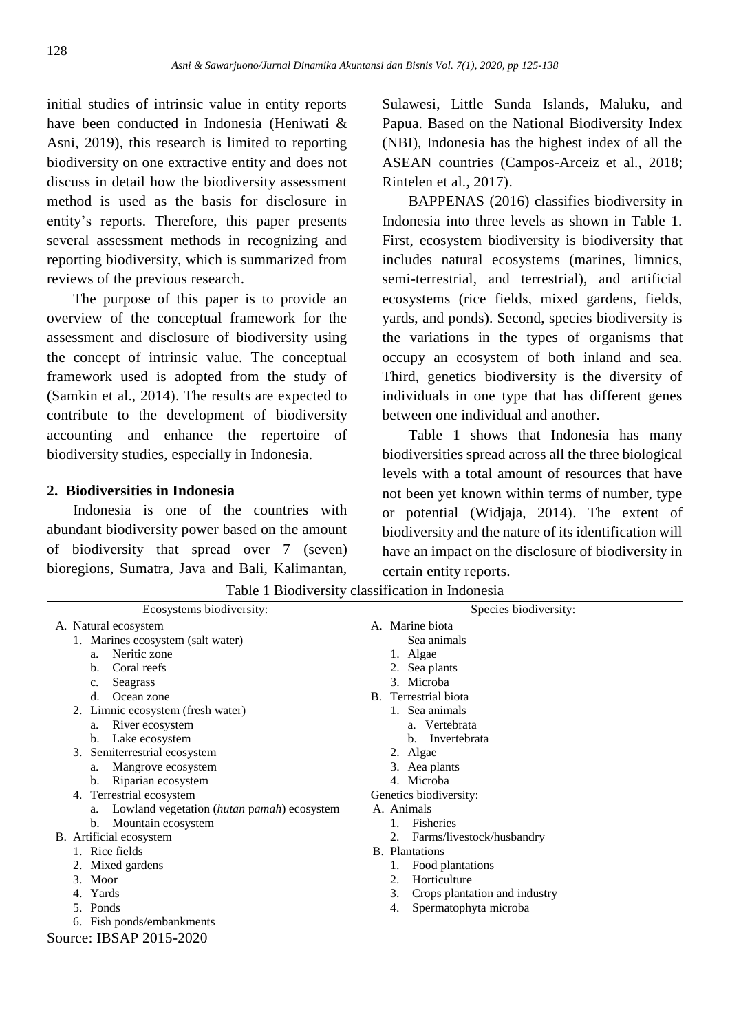initial studies of intrinsic value in entity reports have been conducted in Indonesia (Heniwati & Asni, 2019), this research is limited to reporting biodiversity on one extractive entity and does not discuss in detail how the biodiversity assessment method is used as the basis for disclosure in entity's reports. Therefore, this paper presents several assessment methods in recognizing and reporting biodiversity, which is summarized from reviews of the previous research.

The purpose of this paper is to provide an overview of the conceptual framework for the assessment and disclosure of biodiversity using the concept of intrinsic value. The conceptual framework used is adopted from the study of (Samkin et al., 2014). The results are expected to contribute to the development of biodiversity accounting and enhance the repertoire of biodiversity studies, especially in Indonesia.

# **2. Biodiversities in Indonesia**

Indonesia is one of the countries with abundant biodiversity power based on the amount of biodiversity that spread over 7 (seven) bioregions, Sumatra, Java and Bali, Kalimantan,

Sulawesi, Little Sunda Islands, Maluku, and Papua. Based on the National Biodiversity Index (NBI), Indonesia has the highest index of all the ASEAN countries (Campos-Arceiz et al., 2018; Rintelen et al., 2017).

BAPPENAS (2016) classifies biodiversity in Indonesia into three levels as shown in Table 1. First, ecosystem biodiversity is biodiversity that includes natural ecosystems (marines, limnics, semi-terrestrial, and terrestrial), and artificial ecosystems (rice fields, mixed gardens, fields, yards, and ponds). Second, species biodiversity is the variations in the types of organisms that occupy an ecosystem of both inland and sea. Third, genetics biodiversity is the diversity of individuals in one type that has different genes between one individual and another.

Table 1 shows that Indonesia has many biodiversities spread across all the three biological levels with a total amount of resources that have not been yet known within terms of number, type or potential (Widjaja, 2014). The extent of biodiversity and the nature of its identification will have an impact on the disclosure of biodiversity in certain entity reports.

| Ecosystems biodiversity:                         | Species biodiversity:               |
|--------------------------------------------------|-------------------------------------|
| A. Natural ecosystem                             | A. Marine biota                     |
| 1. Marines ecosystem (salt water)                | Sea animals                         |
| Neritic zone<br>a.                               | 1. Algae                            |
| Coral reefs<br>b.                                | Sea plants                          |
| Seagrass<br>c.                                   | 3. Microba                          |
| d.<br>Ocean zone                                 | B. Terrestrial biota                |
| Limnic ecosystem (fresh water)<br>2.             | Sea animals                         |
| River ecosystem<br>a.                            | a. Vertebrata                       |
| Lake ecosystem<br>b.                             | Invertebrata<br>b.                  |
| Semiterrestrial ecosystem<br>3.                  | 2. Algae                            |
| Mangrove ecosystem<br>a.                         | 3. Aea plants                       |
| Riparian ecosystem<br>b.                         | 4. Microba                          |
| Terrestrial ecosystem<br>4.                      | Genetics biodiversity:              |
| Lowland vegetation (hutan pamah) ecosystem<br>a. | A. Animals                          |
| Mountain ecosystem<br>b.                         | <b>Fisheries</b>                    |
| B. Artificial ecosystem                          | Farms/livestock/husbandry           |
| Rice fields                                      | <b>B.</b> Plantations               |
| 2. Mixed gardens                                 | Food plantations                    |
| 3. Moor                                          | 2.<br>Horticulture                  |
| Yards<br>4.                                      | 3.<br>Crops plantation and industry |
| Ponds<br>5.                                      | Spermatophyta microba<br>4.         |
| 6. Fish ponds/embankments                        |                                     |
| Source: IBSAP 2015-2020                          |                                     |

Table 1 Biodiversity classification in Indonesia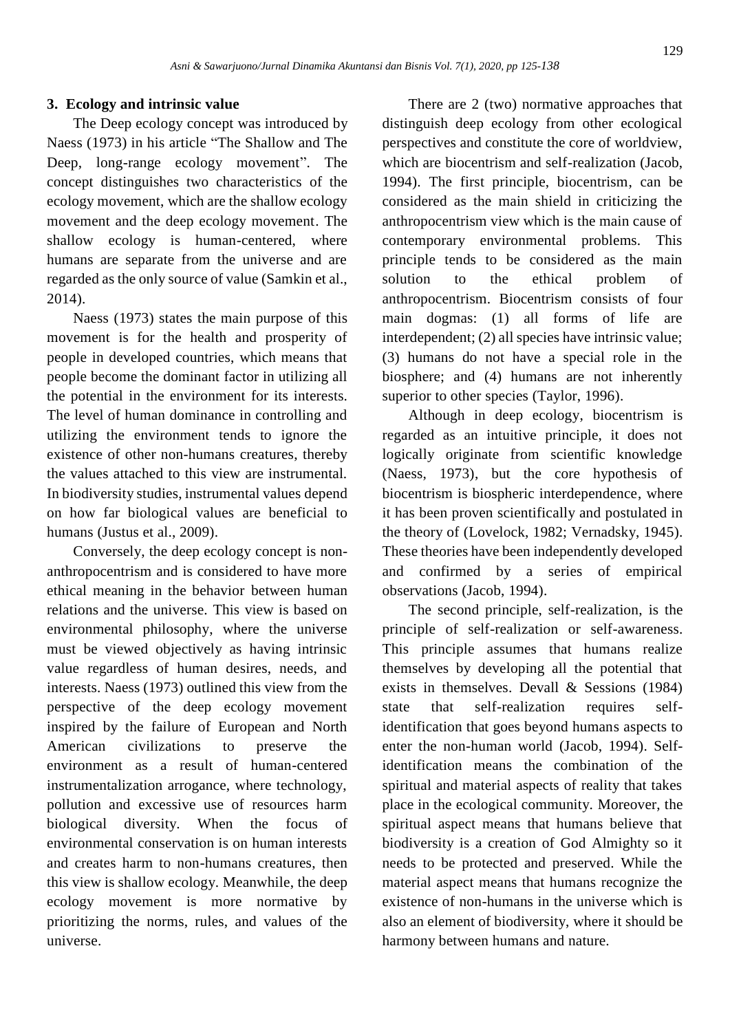#### **3. Ecology and intrinsic value**

The Deep ecology concept was introduced by Naess (1973) in his article "The Shallow and The Deep, long-range ecology movement". The concept distinguishes two characteristics of the ecology movement, which are the shallow ecology movement and the deep ecology movement. The shallow ecology is human-centered, where humans are separate from the universe and are regarded as the only source of value (Samkin et al., 2014).

Naess (1973) states the main purpose of this movement is for the health and prosperity of people in developed countries, which means that people become the dominant factor in utilizing all the potential in the environment for its interests. The level of human dominance in controlling and utilizing the environment tends to ignore the existence of other non-humans creatures, thereby the values attached to this view are instrumental. In biodiversity studies, instrumental values depend on how far biological values are beneficial to humans (Justus et al., 2009).

Conversely, the deep ecology concept is nonanthropocentrism and is considered to have more ethical meaning in the behavior between human relations and the universe. This view is based on environmental philosophy, where the universe must be viewed objectively as having intrinsic value regardless of human desires, needs, and interests. Naess (1973) outlined this view from the perspective of the deep ecology movement inspired by the failure of European and North American civilizations to preserve the environment as a result of human-centered instrumentalization arrogance, where technology, pollution and excessive use of resources harm biological diversity. When the focus of environmental conservation is on human interests and creates harm to non-humans creatures, then this view is shallow ecology. Meanwhile, the deep ecology movement is more normative by prioritizing the norms, rules, and values of the universe.

There are 2 (two) normative approaches that distinguish deep ecology from other ecological perspectives and constitute the core of worldview, which are biocentrism and self-realization (Jacob, 1994). The first principle, biocentrism, can be considered as the main shield in criticizing the anthropocentrism view which is the main cause of contemporary environmental problems. This principle tends to be considered as the main solution to the ethical problem of anthropocentrism. Biocentrism consists of four main dogmas: (1) all forms of life are interdependent; (2) all species have intrinsic value; (3) humans do not have a special role in the biosphere; and (4) humans are not inherently superior to other species (Taylor, 1996).

Although in deep ecology, biocentrism is regarded as an intuitive principle, it does not logically originate from scientific knowledge (Naess, 1973), but the core hypothesis of biocentrism is biospheric interdependence, where it has been proven scientifically and postulated in the theory of (Lovelock, 1982; Vernadsky, 1945). These theories have been independently developed and confirmed by a series of empirical observations (Jacob, 1994).

The second principle, self-realization, is the principle of self-realization or self-awareness. This principle assumes that humans realize themselves by developing all the potential that exists in themselves. Devall & Sessions (1984) state that self-realization requires selfidentification that goes beyond humans aspects to enter the non-human world (Jacob, 1994). Selfidentification means the combination of the spiritual and material aspects of reality that takes place in the ecological community. Moreover, the spiritual aspect means that humans believe that biodiversity is a creation of God Almighty so it needs to be protected and preserved. While the material aspect means that humans recognize the existence of non-humans in the universe which is also an element of biodiversity, where it should be harmony between humans and nature.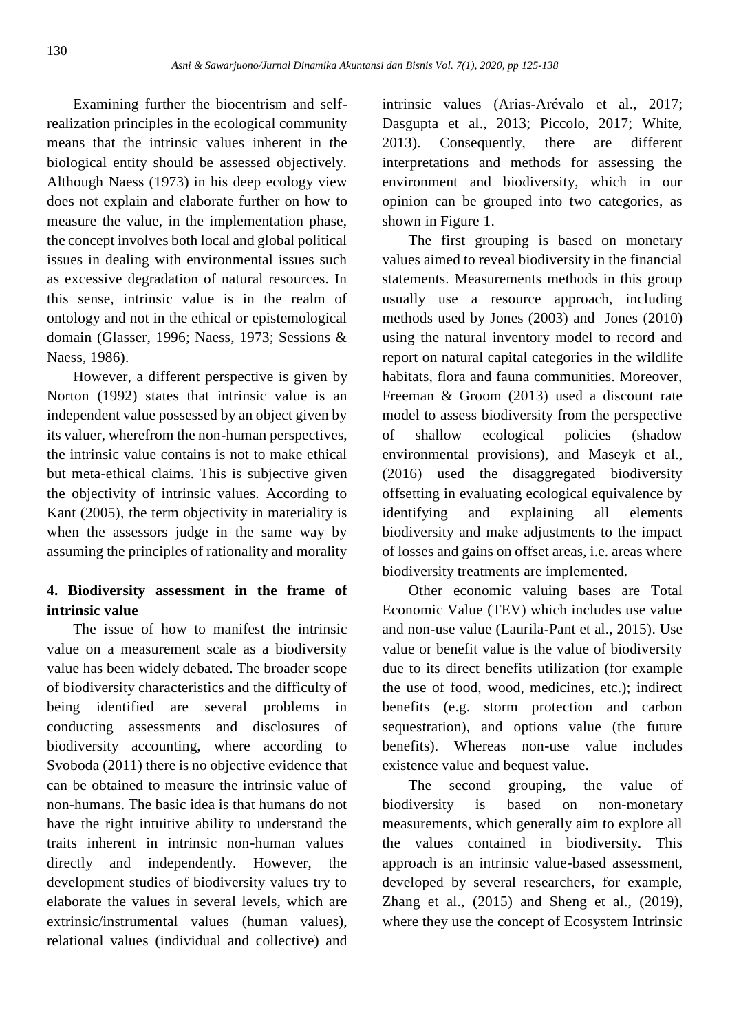Examining further the biocentrism and selfrealization principles in the ecological community means that the intrinsic values inherent in the biological entity should be assessed objectively. Although Naess (1973) in his deep ecology view does not explain and elaborate further on how to measure the value, in the implementation phase, the concept involves both local and global political issues in dealing with environmental issues such as excessive degradation of natural resources. In this sense, intrinsic value is in the realm of ontology and not in the ethical or epistemological domain (Glasser, 1996; Naess, 1973; Sessions & Naess, 1986).

However, a different perspective is given by Norton (1992) states that intrinsic value is an independent value possessed by an object given by its valuer, wherefrom the non-human perspectives, the intrinsic value contains is not to make ethical but meta-ethical claims. This is subjective given the objectivity of intrinsic values. According to Kant (2005), the term objectivity in materiality is when the assessors judge in the same way by assuming the principles of rationality and morality

# **4. Biodiversity assessment in the frame of intrinsic value**

The issue of how to manifest the intrinsic value on a measurement scale as a biodiversity value has been widely debated. The broader scope of biodiversity characteristics and the difficulty of being identified are several problems in conducting assessments and disclosures of biodiversity accounting, where according to Svoboda (2011) there is no objective evidence that can be obtained to measure the intrinsic value of non-humans. The basic idea is that humans do not have the right intuitive ability to understand the traits inherent in intrinsic non-human values directly and independently. However, the development studies of biodiversity values try to elaborate the values in several levels, which are extrinsic/instrumental values (human values), relational values (individual and collective) and

intrinsic values (Arias-Arévalo et al., 2017; Dasgupta et al., 2013; Piccolo, 2017; White, 2013). Consequently, there are different interpretations and methods for assessing the environment and biodiversity, which in our opinion can be grouped into two categories, as shown in Figure 1.

The first grouping is based on monetary values aimed to reveal biodiversity in the financial statements. Measurements methods in this group usually use a resource approach, including methods used by Jones (2003) and Jones (2010) using the natural inventory model to record and report on natural capital categories in the wildlife habitats, flora and fauna communities. Moreover, Freeman & Groom (2013) used a discount rate model to assess biodiversity from the perspective of shallow ecological policies (shadow environmental provisions), and Maseyk et al., (2016) used the disaggregated biodiversity offsetting in evaluating ecological equivalence by identifying and explaining all elements biodiversity and make adjustments to the impact of losses and gains on offset areas, i.e. areas where biodiversity treatments are implemented.

Other economic valuing bases are Total Economic Value (TEV) which includes use value and non-use value (Laurila-Pant et al., 2015). Use value or benefit value is the value of biodiversity due to its direct benefits utilization (for example the use of food, wood, medicines, etc.); indirect benefits (e.g. storm protection and carbon sequestration), and options value (the future benefits). Whereas non-use value includes existence value and bequest value.

The second grouping, the value of biodiversity is based on non-monetary measurements, which generally aim to explore all the values contained in biodiversity. This approach is an intrinsic value-based assessment, developed by several researchers, for example, Zhang et al., (2015) and Sheng et al., (2019), where they use the concept of Ecosystem Intrinsic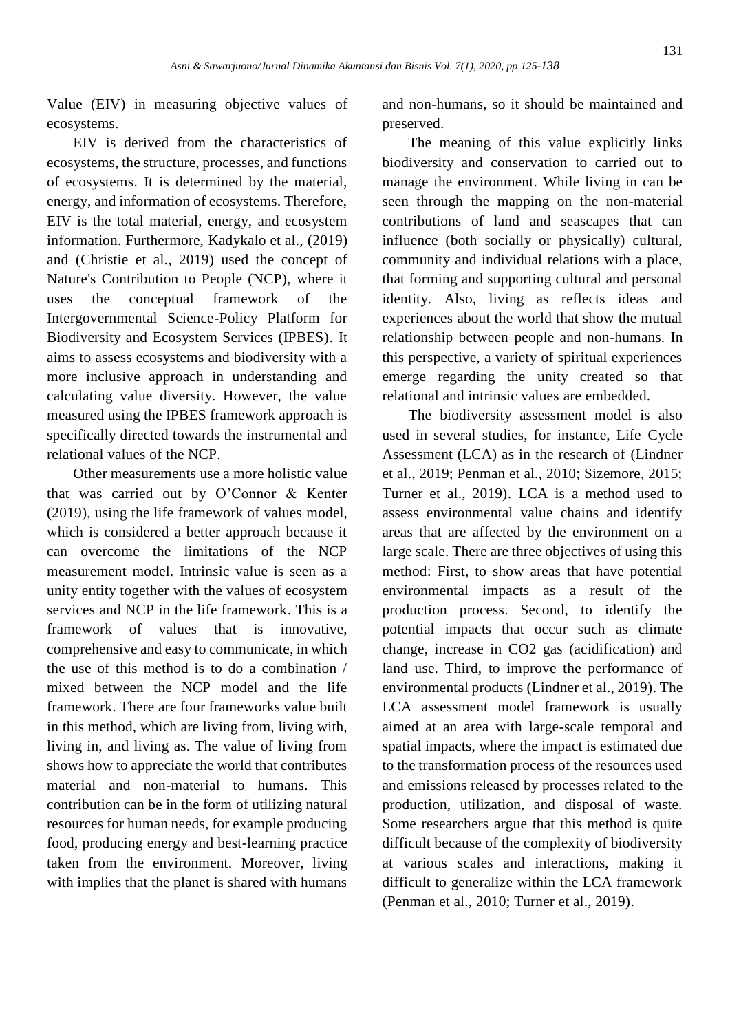Value (EIV) in measuring objective values of ecosystems.

EIV is derived from the characteristics of ecosystems, the structure, processes, and functions of ecosystems. It is determined by the material, energy, and information of ecosystems. Therefore, EIV is the total material, energy, and ecosystem information. Furthermore, Kadykalo et al., (2019) and (Christie et al., 2019) used the concept of Nature's Contribution to People (NCP), where it uses the conceptual framework of the Intergovernmental Science-Policy Platform for Biodiversity and Ecosystem Services (IPBES). It aims to assess ecosystems and biodiversity with a more inclusive approach in understanding and calculating value diversity. However, the value measured using the IPBES framework approach is specifically directed towards the instrumental and relational values of the NCP.

Other measurements use a more holistic value that was carried out by O'Connor & Kenter (2019), using the life framework of values model, which is considered a better approach because it can overcome the limitations of the NCP measurement model. Intrinsic value is seen as a unity entity together with the values of ecosystem services and NCP in the life framework. This is a framework of values that is innovative, comprehensive and easy to communicate, in which the use of this method is to do a combination / mixed between the NCP model and the life framework. There are four frameworks value built in this method, which are living from, living with, living in, and living as. The value of living from shows how to appreciate the world that contributes material and non-material to humans. This contribution can be in the form of utilizing natural resources for human needs, for example producing food, producing energy and best-learning practice taken from the environment. Moreover, living with implies that the planet is shared with humans

and non-humans, so it should be maintained and preserved.

The meaning of this value explicitly links biodiversity and conservation to carried out to manage the environment. While living in can be seen through the mapping on the non-material contributions of land and seascapes that can influence (both socially or physically) cultural, community and individual relations with a place, that forming and supporting cultural and personal identity. Also, living as reflects ideas and experiences about the world that show the mutual relationship between people and non-humans. In this perspective, a variety of spiritual experiences emerge regarding the unity created so that relational and intrinsic values are embedded.

The biodiversity assessment model is also used in several studies, for instance, Life Cycle Assessment (LCA) as in the research of (Lindner et al., 2019; Penman et al., 2010; Sizemore, 2015; Turner et al., 2019). LCA is a method used to assess environmental value chains and identify areas that are affected by the environment on a large scale. There are three objectives of using this method: First, to show areas that have potential environmental impacts as a result of the production process. Second, to identify the potential impacts that occur such as climate change, increase in CO2 gas (acidification) and land use. Third, to improve the performance of environmental products (Lindner et al., 2019). The LCA assessment model framework is usually aimed at an area with large-scale temporal and spatial impacts, where the impact is estimated due to the transformation process of the resources used and emissions released by processes related to the production, utilization, and disposal of waste. Some researchers argue that this method is quite difficult because of the complexity of biodiversity at various scales and interactions, making it difficult to generalize within the LCA framework (Penman et al., 2010; Turner et al., 2019).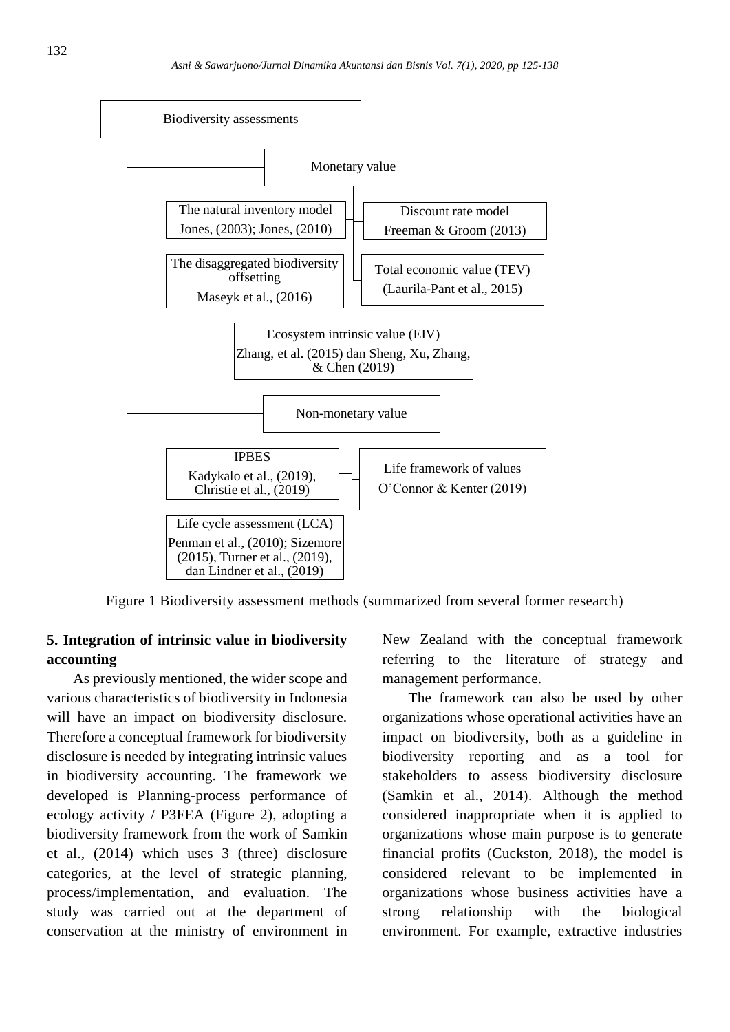

Figure 1 Biodiversity assessment methods (summarized from several former research)

# **5. Integration of intrinsic value in biodiversity accounting**

As previously mentioned, the wider scope and various characteristics of biodiversity in Indonesia will have an impact on biodiversity disclosure. Therefore a conceptual framework for biodiversity disclosure is needed by integrating intrinsic values in biodiversity accounting. The framework we developed is Planning-process performance of ecology activity / P3FEA (Figure 2), adopting a biodiversity framework from the work of Samkin et al., (2014) which uses 3 (three) disclosure categories, at the level of strategic planning, process/implementation, and evaluation. The study was carried out at the department of conservation at the ministry of environment in New Zealand with the conceptual framework referring to the literature of strategy and management performance.

The framework can also be used by other organizations whose operational activities have an impact on biodiversity, both as a guideline in biodiversity reporting and as a tool for stakeholders to assess biodiversity disclosure (Samkin et al., 2014). Although the method considered inappropriate when it is applied to organizations whose main purpose is to generate financial profits (Cuckston, 2018), the model is considered relevant to be implemented in organizations whose business activities have a strong relationship with the biological environment. For example, extractive industries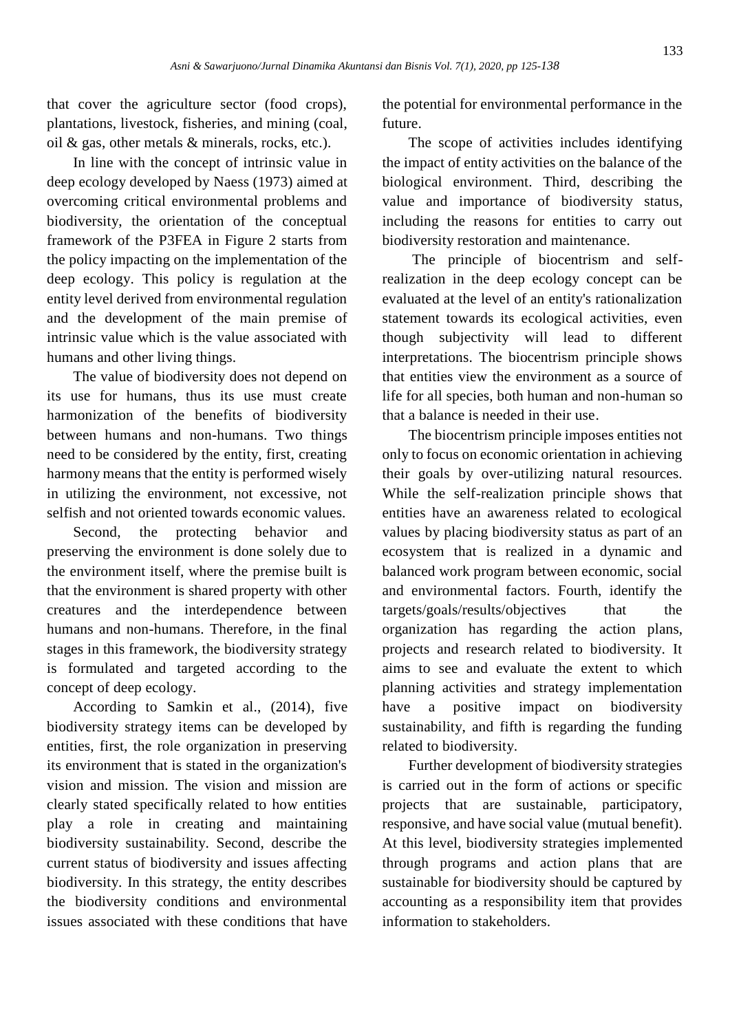that cover the agriculture sector (food crops), plantations, livestock, fisheries, and mining (coal, oil & gas, other metals & minerals, rocks, etc.).

In line with the concept of intrinsic value in deep ecology developed by Naess (1973) aimed at overcoming critical environmental problems and biodiversity, the orientation of the conceptual framework of the P3FEA in Figure 2 starts from the policy impacting on the implementation of the deep ecology. This policy is regulation at the entity level derived from environmental regulation and the development of the main premise of intrinsic value which is the value associated with humans and other living things.

The value of biodiversity does not depend on its use for humans, thus its use must create harmonization of the benefits of biodiversity between humans and non-humans. Two things need to be considered by the entity, first, creating harmony means that the entity is performed wisely in utilizing the environment, not excessive, not selfish and not oriented towards economic values.

Second, the protecting behavior and preserving the environment is done solely due to the environment itself, where the premise built is that the environment is shared property with other creatures and the interdependence between humans and non-humans. Therefore, in the final stages in this framework, the biodiversity strategy is formulated and targeted according to the concept of deep ecology.

According to Samkin et al., (2014), five biodiversity strategy items can be developed by entities, first, the role organization in preserving its environment that is stated in the organization's vision and mission. The vision and mission are clearly stated specifically related to how entities play a role in creating and maintaining biodiversity sustainability. Second, describe the current status of biodiversity and issues affecting biodiversity. In this strategy, the entity describes the biodiversity conditions and environmental issues associated with these conditions that have

the potential for environmental performance in the future.

The scope of activities includes identifying the impact of entity activities on the balance of the biological environment. Third, describing the value and importance of biodiversity status, including the reasons for entities to carry out biodiversity restoration and maintenance.

The principle of biocentrism and selfrealization in the deep ecology concept can be evaluated at the level of an entity's rationalization statement towards its ecological activities, even though subjectivity will lead to different interpretations. The biocentrism principle shows that entities view the environment as a source of life for all species, both human and non-human so that a balance is needed in their use.

The biocentrism principle imposes entities not only to focus on economic orientation in achieving their goals by over-utilizing natural resources. While the self-realization principle shows that entities have an awareness related to ecological values by placing biodiversity status as part of an ecosystem that is realized in a dynamic and balanced work program between economic, social and environmental factors. Fourth, identify the targets/goals/results/objectives that the organization has regarding the action plans, projects and research related to biodiversity. It aims to see and evaluate the extent to which planning activities and strategy implementation have a positive impact on biodiversity sustainability, and fifth is regarding the funding related to biodiversity.

Further development of biodiversity strategies is carried out in the form of actions or specific projects that are sustainable, participatory, responsive, and have social value (mutual benefit). At this level, biodiversity strategies implemented through programs and action plans that are sustainable for biodiversity should be captured by accounting as a responsibility item that provides information to stakeholders.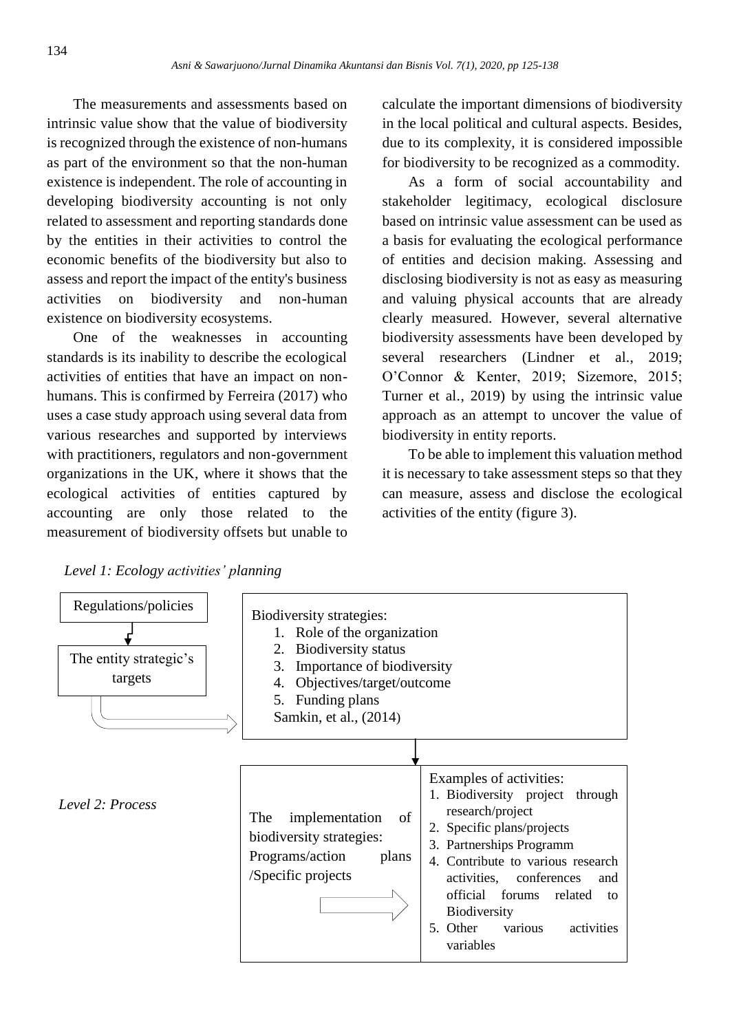The measurements and assessments based on intrinsic value show that the value of biodiversity is recognized through the existence of non-humans as part of the environment so that the non-human existence is independent. The role of accounting in developing biodiversity accounting is not only related to assessment and reporting standards done by the entities in their activities to control the economic benefits of the biodiversity but also to assess and report the impact of the entity's business activities on biodiversity and non-human existence on biodiversity ecosystems.

One of the weaknesses in accounting standards is its inability to describe the ecological activities of entities that have an impact on nonhumans. This is confirmed by Ferreira (2017) who uses a case study approach using several data from various researches and supported by interviews with practitioners, regulators and non-government organizations in the UK, where it shows that the ecological activities of entities captured by accounting are only those related to the measurement of biodiversity offsets but unable to calculate the important dimensions of biodiversity in the local political and cultural aspects. Besides, due to its complexity, it is considered impossible for biodiversity to be recognized as a commodity.

As a form of social accountability and stakeholder legitimacy, ecological disclosure based on intrinsic value assessment can be used as a basis for evaluating the ecological performance of entities and decision making. Assessing and disclosing biodiversity is not as easy as measuring and valuing physical accounts that are already clearly measured. However, several alternative biodiversity assessments have been developed by several researchers (Lindner et al., 2019; O'Connor & Kenter, 2019; Sizemore, 2015; Turner et al., 2019) by using the intrinsic value approach as an attempt to uncover the value of biodiversity in entity reports.

To be able to implement this valuation method it is necessary to take assessment steps so that they can measure, assess and disclose the ecological activities of the entity (figure 3).



*Level 1: Ecology activities' planning*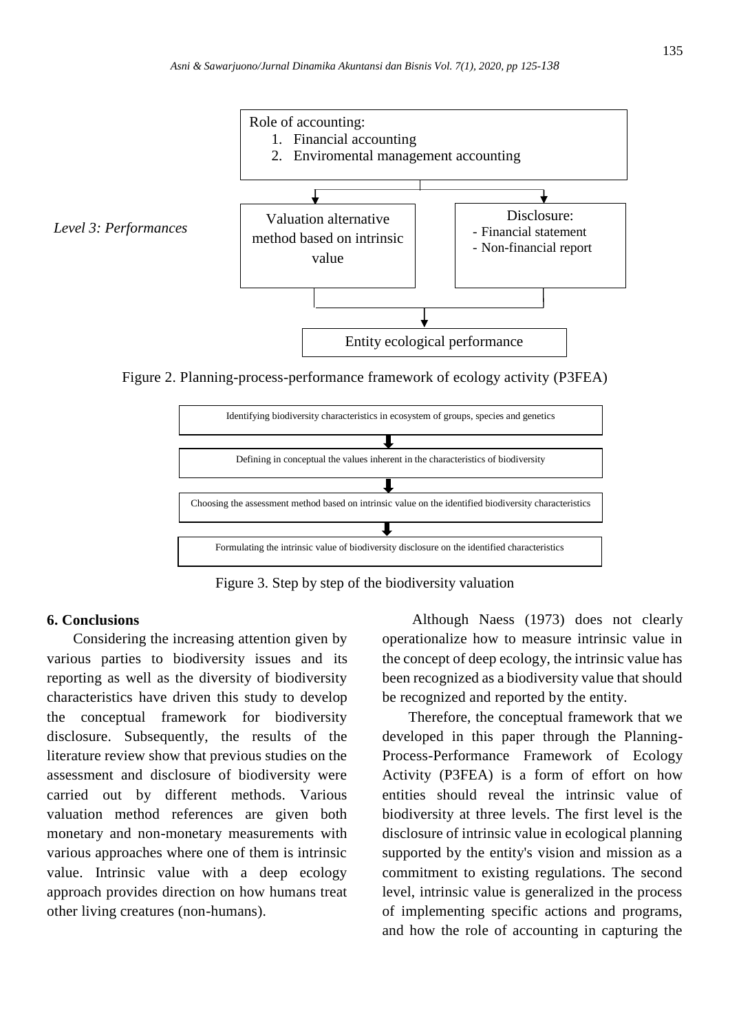

Figure 2. Planning-process-performance framework of ecology activity (P3FEA)



Figure 3. Step by step of the biodiversity valuation

### **6. Conclusions**

Considering the increasing attention given by various parties to biodiversity issues and its reporting as well as the diversity of biodiversity characteristics have driven this study to develop the conceptual framework for biodiversity disclosure. Subsequently, the results of the literature review show that previous studies on the assessment and disclosure of biodiversity were carried out by different methods. Various valuation method references are given both monetary and non-monetary measurements with various approaches where one of them is intrinsic value. Intrinsic value with a deep ecology approach provides direction on how humans treat other living creatures (non-humans).

Although Naess (1973) does not clearly operationalize how to measure intrinsic value in the concept of deep ecology, the intrinsic value has been recognized as a biodiversity value that should be recognized and reported by the entity.

Therefore, the conceptual framework that we developed in this paper through the Planning-Process-Performance Framework of Ecology Activity (P3FEA) is a form of effort on how entities should reveal the intrinsic value of biodiversity at three levels. The first level is the disclosure of intrinsic value in ecological planning supported by the entity's vision and mission as a commitment to existing regulations. The second level, intrinsic value is generalized in the process of implementing specific actions and programs, and how the role of accounting in capturing the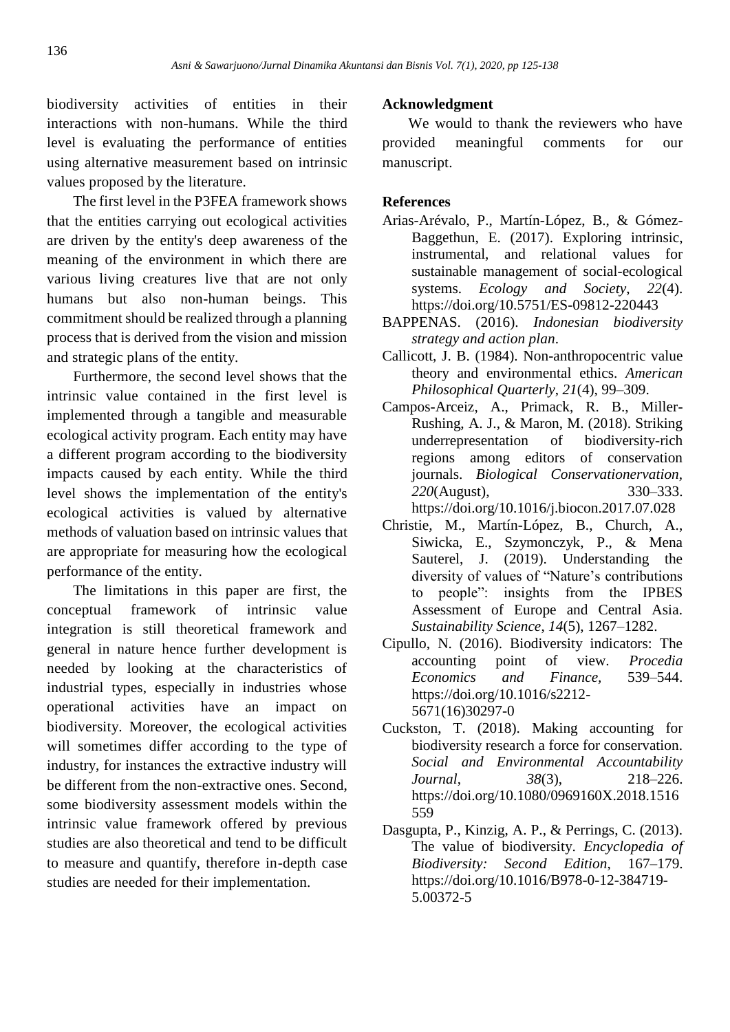biodiversity activities of entities in their interactions with non-humans. While the third level is evaluating the performance of entities using alternative measurement based on intrinsic values proposed by the literature.

The first level in the P3FEA framework shows that the entities carrying out ecological activities are driven by the entity's deep awareness of the meaning of the environment in which there are various living creatures live that are not only humans but also non-human beings. This commitment should be realized through a planning process that is derived from the vision and mission and strategic plans of the entity.

Furthermore, the second level shows that the intrinsic value contained in the first level is implemented through a tangible and measurable ecological activity program. Each entity may have a different program according to the biodiversity impacts caused by each entity. While the third level shows the implementation of the entity's ecological activities is valued by alternative methods of valuation based on intrinsic values that are appropriate for measuring how the ecological performance of the entity.

The limitations in this paper are first, the conceptual framework of intrinsic value integration is still theoretical framework and general in nature hence further development is needed by looking at the characteristics of industrial types, especially in industries whose operational activities have an impact on biodiversity. Moreover, the ecological activities will sometimes differ according to the type of industry, for instances the extractive industry will be different from the non-extractive ones. Second, some biodiversity assessment models within the intrinsic value framework offered by previous studies are also theoretical and tend to be difficult to measure and quantify, therefore in-depth case studies are needed for their implementation.

# **Acknowledgment**

We would to thank the reviewers who have provided meaningful comments for our manuscript.

# **References**

- Arias-Arévalo, P., Martín-López, B., & Gómez-Baggethun, E. (2017). Exploring intrinsic, instrumental, and relational values for sustainable management of social-ecological systems. *Ecology and Society*, *22*(4). https://doi.org/10.5751/ES-09812-220443
- BAPPENAS. (2016). *Indonesian biodiversity strategy and action plan*.
- Callicott, J. B. (1984). Non-anthropocentric value theory and environmental ethics. *American Philosophical Quarterly*, *21*(4), 99–309.
- Campos-Arceiz, A., Primack, R. B., Miller-Rushing, A. J., & Maron, M. (2018). Striking underrepresentation of biodiversity-rich regions among editors of conservation journals. *Biological Conservationervation, 220*(August), 330–333. https://doi.org/10.1016/j.biocon.2017.07.028
- Christie, M., Martín-López, B., Church, A., Siwicka, E., Szymonczyk, P., & Mena Sauterel, J. (2019). Understanding the diversity of values of "Nature's contributions to people": insights from the IPBES Assessment of Europe and Central Asia. *Sustainability Science*, *14*(5), 1267–1282.
- Cipullo, N. (2016). Biodiversity indicators: The accounting point of view. *Procedia Economics and Finance,* 539–544. https://doi.org/10.1016/s2212- 5671(16)30297-0
- Cuckston, T. (2018). Making accounting for biodiversity research a force for conservation. *Social and Environmental Accountability Journal*, *38*(3), 218–226. https://doi.org/10.1080/0969160X.2018.1516 559
- Dasgupta, P., Kinzig, A. P., & Perrings, C. (2013). The value of biodiversity. *Encyclopedia of Biodiversity: Second Edition*, 167–179. https://doi.org/10.1016/B978-0-12-384719- 5.00372-5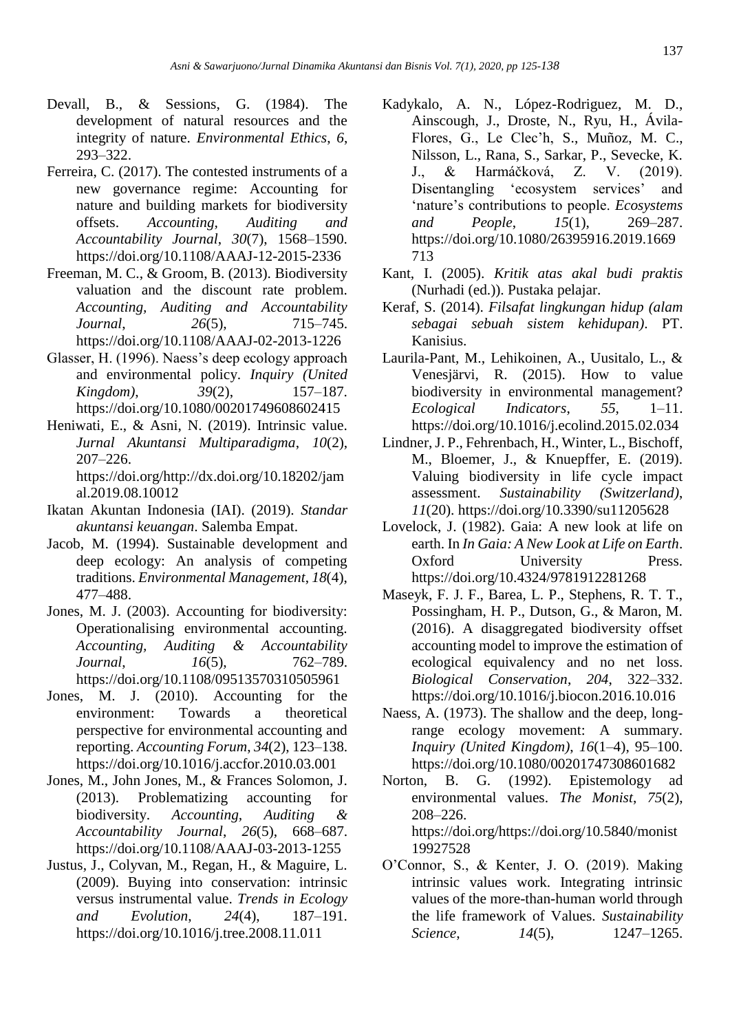- Devall, B., & Sessions, G. (1984). The development of natural resources and the integrity of nature. *Environmental Ethics*, *6*, 293–322.
- Ferreira, C. (2017). The contested instruments of a new governance regime: Accounting for nature and building markets for biodiversity offsets. *Accounting, Auditing and Accountability Journal*, *30*(7), 1568–1590. https://doi.org/10.1108/AAAJ-12-2015-2336
- Freeman, M. C., & Groom, B. (2013). Biodiversity valuation and the discount rate problem. *Accounting, Auditing and Accountability Journal*, *26*(5), 715–745. https://doi.org/10.1108/AAAJ-02-2013-1226
- Glasser, H. (1996). Naess's deep ecology approach and environmental policy. *Inquiry (United Kingdom)*, *39*(2), 157–187. https://doi.org/10.1080/00201749608602415
- Heniwati, E., & Asni, N. (2019). Intrinsic value. *Jurnal Akuntansi Multiparadigma*, *10*(2), 207–226. https://doi.org/http://dx.doi.org/10.18202/jam al.2019.08.10012
- Ikatan Akuntan Indonesia (IAI). (2019). *Standar akuntansi keuangan*. Salemba Empat.
- Jacob, M. (1994). Sustainable development and deep ecology: An analysis of competing traditions. *Environmental Management*, *18*(4), 477–488.
- Jones, M. J. (2003). Accounting for biodiversity: Operationalising environmental accounting. *Accounting, Auditing & Accountability Journal*, *16*(5), 762–789. https://doi.org/10.1108/09513570310505961
- Jones, M. J. (2010). Accounting for the environment: Towards a theoretical perspective for environmental accounting and reporting. *Accounting Forum*, *34*(2), 123–138. https://doi.org/10.1016/j.accfor.2010.03.001
- Jones, M., John Jones, M., & Frances Solomon, J. (2013). Problematizing accounting for biodiversity. *Accounting, Auditing & Accountability Journal*, *26*(5), 668–687. https://doi.org/10.1108/AAAJ-03-2013-1255
- Justus, J., Colyvan, M., Regan, H., & Maguire, L. (2009). Buying into conservation: intrinsic versus instrumental value. *Trends in Ecology and Evolution*, *24*(4), 187–191. https://doi.org/10.1016/j.tree.2008.11.011
- Kadykalo, A. N., López-Rodriguez, M. D., Ainscough, J., Droste, N., Ryu, H., Ávila-Flores, G., Le Clec'h, S., Muñoz, M. C., Nilsson, L., Rana, S., Sarkar, P., Sevecke, K. J., & Harmáčková, Z. V. (2019). Disentangling 'ecosystem services' and 'nature's contributions to people. *Ecosystems and People*, *15*(1), 269–287. https://doi.org/10.1080/26395916.2019.1669 713
- Kant, I. (2005). *Kritik atas akal budi praktis* (Nurhadi (ed.)). Pustaka pelajar.
- Keraf, S. (2014). *Filsafat lingkungan hidup (alam sebagai sebuah sistem kehidupan)*. PT. Kanisius.
- Laurila-Pant, M., Lehikoinen, A., Uusitalo, L., & Venesjärvi, R. (2015). How to value biodiversity in environmental management? *Ecological Indicators*, *55*, 1–11. https://doi.org/10.1016/j.ecolind.2015.02.034
- Lindner, J. P., Fehrenbach, H., Winter, L., Bischoff, M., Bloemer, J., & Knuepffer, E. (2019). Valuing biodiversity in life cycle impact assessment. *Sustainability (Switzerland)*, *11*(20). https://doi.org/10.3390/su11205628
- Lovelock, J. (1982). Gaia: A new look at life on earth. In *In Gaia: A New Look at Life on Earth*. Oxford University Press. https://doi.org/10.4324/9781912281268
- Maseyk, F. J. F., Barea, L. P., Stephens, R. T. T., Possingham, H. P., Dutson, G., & Maron, M. (2016). A disaggregated biodiversity offset accounting model to improve the estimation of ecological equivalency and no net loss. *Biological Conservation*, *204*, 322–332. https://doi.org/10.1016/j.biocon.2016.10.016
- Naess, A. (1973). The shallow and the deep, longrange ecology movement: A summary. *Inquiry (United Kingdom)*, *16*(1–4), 95–100. https://doi.org/10.1080/00201747308601682
- Norton, B. G. (1992). Epistemology ad environmental values. *The Monist*, *75*(2), 208–226. https://doi.org/https://doi.org/10.5840/monist 19927528
- O'Connor, S., & Kenter, J. O. (2019). Making intrinsic values work. Integrating intrinsic values of the more-than-human world through the life framework of Values. *Sustainability Science*, *14*(5), 1247–1265.